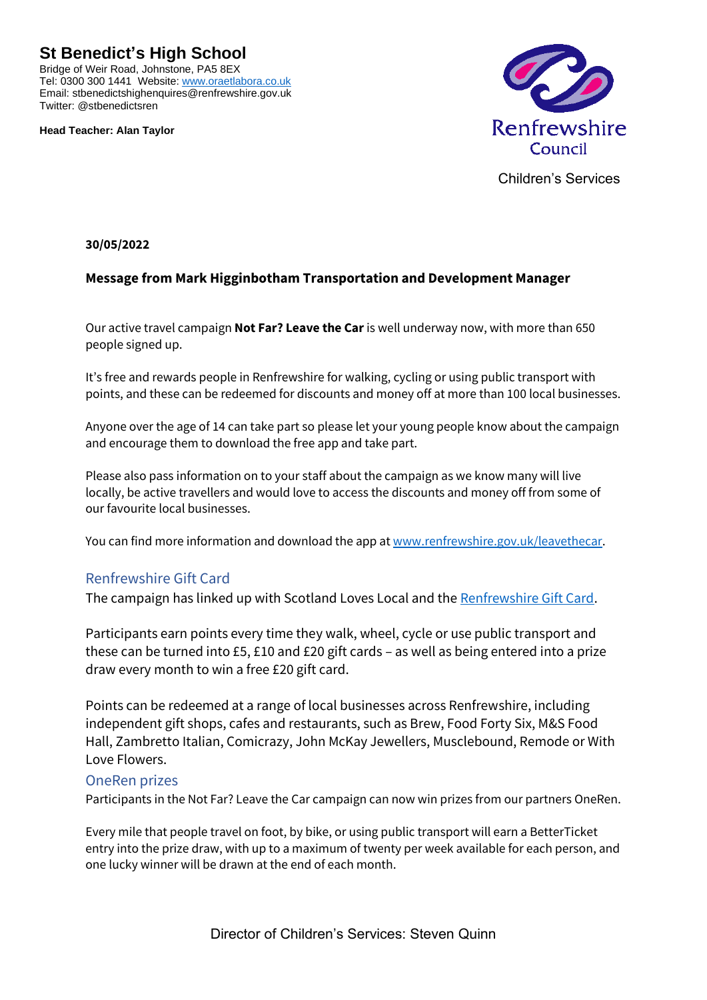**St Benedict's High School**

Bridge of Weir Road, Johnstone, PA5 8EX Tel: 0300 300 1441 Website[: www.oraetlabora.co.uk](http://www.oraetlabora.co.uk/) Email: stbenedictshighenquires@renfrewshire.gov.uk Twitter: @stbenedictsren

**Head Teacher: Alan Taylor**



Children's Services

**30/05/2022**

## **Message from Mark Higginbotham Transportation and Development Manager**

Our active travel campaign **Not Far? Leave the Car** is well underway now, with more than 650 people signed up.

It's free and rewards people in Renfrewshire for walking, cycling or using public transport with points, and these can be redeemed for discounts and money off at more than 100 local businesses.

Anyone over the age of 14 can take part so please let your young people know about the campaign and encourage them to download the free app and take part.

Please also pass information on to your staff about the campaign as we know many will live locally, be active travellers and would love to access the discounts and money off from some of our favourite local businesses.

You can find more information and download the app at [www.renfrewshire.gov.uk/leavethecar.](https://eur01.safelinks.protection.outlook.com/?url=http%3A%2F%2Fwww.renfrewshire.gov.uk%2Fleavethecar&data=05%7C01%7Ckaren.gray-schools%40renfrewshire.gov.uk%7C1028023e19134deee0b308da3c917dac%7Cca2953361aa64486b2b2cf7669625305%7C0%7C0%7C637888892812821726%7CUnknown%7CTWFpbGZsb3d8eyJWIjoiMC4wLjAwMDAiLCJQIjoiV2luMzIiLCJBTiI6Ik1haWwiLCJXVCI6Mn0%3D%7C3000%7C%7C%7C&sdata=NCyrHahejei3S9r9Wrz9A19mluMTFQIf5TaKnwUz%2FiI%3D&reserved=0)

## Renfrewshire Gift Card

The campaign has linked up with Scotland Loves Local and th[e Renfrewshire Gift Card.](https://eur01.safelinks.protection.outlook.com/?url=https%3A%2F%2Fscotlandgiftslocal.com%2Fproduct%2Frenfrewshire-gift-card%2F&data=05%7C01%7Ckaren.gray-schools%40renfrewshire.gov.uk%7C1028023e19134deee0b308da3c917dac%7Cca2953361aa64486b2b2cf7669625305%7C0%7C0%7C637888892812821726%7CUnknown%7CTWFpbGZsb3d8eyJWIjoiMC4wLjAwMDAiLCJQIjoiV2luMzIiLCJBTiI6Ik1haWwiLCJXVCI6Mn0%3D%7C3000%7C%7C%7C&sdata=IVboRr9I6yCL%2BylXfMUw64LOAlPgTgSlQlwWjuCuWQU%3D&reserved=0)

Participants earn points every time they walk, wheel, cycle or use public transport and these can be turned into £5, £10 and £20 gift cards – as well as being entered into a prize draw every month to win a free £20 gift card.

Points can be redeemed at a range of local businesses across Renfrewshire, including independent gift shops, cafes and restaurants, such as Brew, Food Forty Six, M&S Food Hall, Zambretto Italian, Comicrazy, John McKay Jewellers, Musclebound, Remode or With Love Flowers.

## OneRen prizes

Participants in the Not Far? Leave the Car campaign can now win prizes from our partners OneRen.

Every mile that people travel on foot, by bike, or using public transport will earn a BetterTicket entry into the prize draw, with up to a maximum of twenty per week available for each person, and one lucky winner will be drawn at the end of each month.